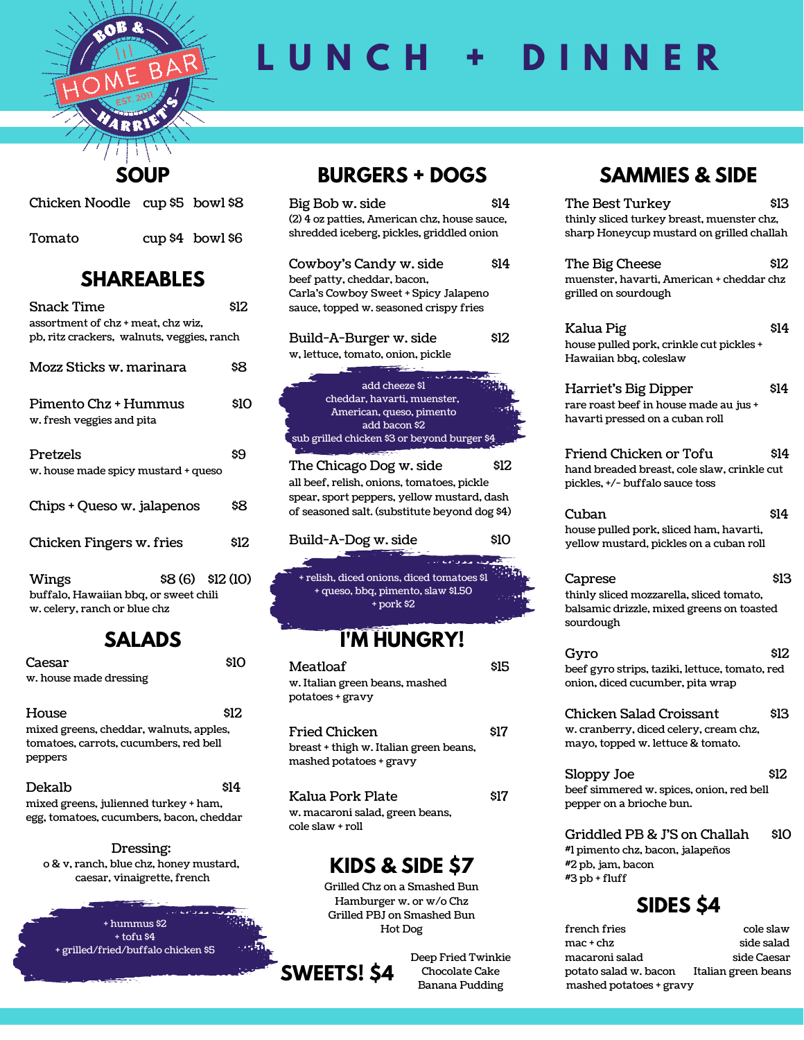

# **L U N C H + D I N N E R**

### **SOUP**

| Chicken Noodle cup \$5 bowl \$8 |                      |  |
|---------------------------------|----------------------|--|
| Tomato                          | $cup \$4$ bowl $\$6$ |  |

### **SHAREABLES**

| Snack Time                                                                       |                 | \$12 |
|----------------------------------------------------------------------------------|-----------------|------|
| assortment of chz + meat, chz wiz,<br>pb, ritz crackers, walnuts, veggies, ranch |                 |      |
| Mozz Sticks w. marinara                                                          |                 | 88   |
| Pimento Chz + Hummus<br>w. fresh veggies and pita                                |                 | \$10 |
| Pretzels<br>w. house made spicy mustard + queso                                  |                 | 89   |
| Chips + Queso w. jalapenos                                                       |                 | \$8  |
| Chicken Fingers w. fries                                                         |                 | \$12 |
| Wings<br>buffalo, Hawaiian bbq, or sweet chili<br>w. celery, ranch or blue chz   | \$8(6) \$12(10) |      |

#### **SALADS**

| Caesar                                  | SΙO   |
|-----------------------------------------|-------|
| w. house made dressing                  |       |
|                                         |       |
| House                                   | \$12. |
| mixed greens, cheddar, walnuts, apples, |       |
| tomatoes, carrots, cucumbers, red bell  |       |
| peppers                                 |       |
|                                         |       |

| Dekalb                                   | \$14 |
|------------------------------------------|------|
| mixed greens, julienned turkey + ham,    |      |
| egg, tomatoes, cucumbers, bacon, cheddar |      |

Dressing: o & v, ranch, blue chz, honey mustard, caesar, vinaigrette, french



### **BURGERS + DOGS**

| Big Bob w. side<br>(2) 4 oz patties, American chz, house sauce,<br>shredded iceberg, pickles, griddled onion                                                         | \$14 |
|----------------------------------------------------------------------------------------------------------------------------------------------------------------------|------|
| Cowboy's Candy w. side<br>beef patty, cheddar, bacon,<br>Carla's Cowboy Sweet + Spicy Jalapeno<br>sauce, topped w. seasoned crispy fries                             | \$14 |
| Build-A-Burger w. side<br>w, lettuce, tomato, onion, pickle                                                                                                          | \$12 |
| add cheeze \$1<br>cheddar, havarti, muenster,<br>American, queso, pimento<br>add bacon \$2<br>sub grilled chicken \$3 or beyond burger \$4                           |      |
| The Chicago Dog w. side<br>all beef, relish, onions, tomatoes, pickle<br>spear, sport peppers, yellow mustard, dash<br>of seasoned salt. (substitute beyond dog \$4) | \$12 |
| Build-A-Dog w. side                                                                                                                                                  | \$10 |
| + relish, diced onions, diced tomatoes \$1<br>+ queso, bbq, pimento, slaw \$1.50<br>+ pork \$2                                                                       |      |
| I'M HUNGRY!                                                                                                                                                          |      |
| Meatloaf<br>w. Italian green beans, mashed<br>potatoes + gravy                                                                                                       | \$15 |

| Fried Chicken                                                     | \$17 |
|-------------------------------------------------------------------|------|
| breast + thigh w. Italian green beans,<br>mashed potatoes + gravy |      |
|                                                                   |      |

Kalua Pork Plate \$17 w. macaroni salad, green beans, cole slaw + roll

## **KIDS & SIDE \$7**

Grilled Chz on a Smashed Bun Hamburger w. or w/o Chz Grilled PBJ on Smashed Bun Hot Dog



Deep Fried Twinkie Chocolate Cake Banana Pudding

## **SAMMIES & SIDE**

| The Best Turkey<br>thinly sliced turkey breast, muenster chz,<br>sharp Honeycup mustard on grilled challah    | \$13 |
|---------------------------------------------------------------------------------------------------------------|------|
| The Big Cheese<br>muenster, havarti, American + cheddar chz<br>grilled on sourdough                           | \$12 |
| Kalua Pig<br>house pulled pork, crinkle cut pickles +<br>Hawaiian bbq, coleslaw                               | \$14 |
| Harriet's Big Dipper<br>rare roast beef in house made au jus +<br>havarti pressed on a cuban roll             | \$14 |
| Friend Chicken or Tofu<br>hand breaded breast, cole slaw, crinkle cut<br>pickles, +/- buffalo sauce toss      | \$14 |
| Cuban<br>house pulled pork, sliced ham, havarti,<br>yellow mustard, pickles on a cuban roll                   | \$14 |
| Caprese<br>thinly sliced mozzarella, sliced tomato,<br>balsamic drizzle, mixed greens on toasted<br>sourdough | \$13 |
| Gyro<br>beef gyro strips, taziki, lettuce, tomato, red<br>onion, diced cucumber, pita wrap                    | \$12 |
| Chicken Salad Croissant<br>w. cranberry, diced celery, cream chz,<br>mayo, topped w. lettuce & tomato.        | \$13 |
| Sloppy Joe<br>beef simmered w. spices, onion, red bell<br>pepper on a brioche bun.                            | \$12 |
| Griddled PB & J'S on Challah                                                                                  | \$10 |

**SIDES \$4**

#1 pimento chz, bacon, jalapeños

#2 pb, jam, bacon #3 pb + fluff

| french fries            | cole slaw           |
|-------------------------|---------------------|
| mac + chz               | side salad          |
| macaroni salad          | side Caesar         |
| potato salad w. bacon   | Italian green beans |
| mashed potatoes + gravy |                     |